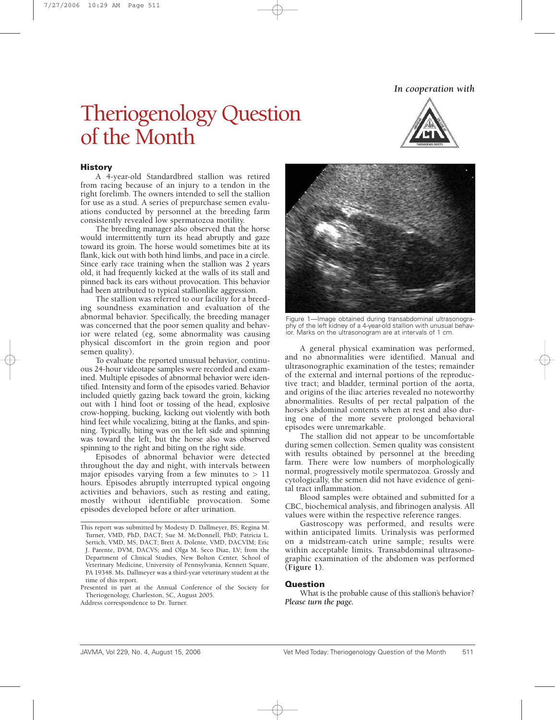*In cooperation with*

# Theriogenology Question of the Month



## **History**

A 4-year-old Standardbred stallion was retired from racing because of an injury to a tendon in the right forelimb. The owners intended to sell the stallion for use as a stud. A series of prepurchase semen evaluations conducted by personnel at the breeding farm consistently revealed low spermatozoa motility.

The breeding manager also observed that the horse would intermittently turn its head abruptly and gaze toward its groin. The horse would sometimes bite at its flank, kick out with both hind limbs, and pace in a circle. Since early race training when the stallion was 2 years old, it had frequently kicked at the walls of its stall and pinned back its ears without provocation. This behavior had been attributed to typical stallionlike aggression.

The stallion was referred to our facility for a breeding soundness examination and evaluation of the abnormal behavior. Specifically, the breeding manager was concerned that the poor semen quality and behavior were related (eg, some abnormality was causing physical discomfort in the groin region and poor semen quality).

To evaluate the reported unusual behavior, continuous 24-hour videotape samples were recorded and examined. Multiple episodes of abnormal behavior were identified. Intensity and form of the episodes varied. Behavior included quietly gazing back toward the groin, kicking out with 1 hind foot or tossing of the head, explosive crow-hopping, bucking, kicking out violently with both hind feet while vocalizing, biting at the flanks, and spinning. Typically, biting was on the left side and spinning was toward the left, but the horse also was observed spinning to the right and biting on the right side.

Episodes of abnormal behavior were detected throughout the day and night, with intervals between major episodes varying from a few minutes to  $> 11$ hours. Episodes abruptly interrupted typical ongoing activities and behaviors, such as resting and eating, mostly without identifiable provocation. Some episodes developed before or after urination.



Figure 1—Image obtained during transabdominal ultrasonography of the left kidney of a 4-year-old stallion with unusual behavior. Marks on the ultrasonogram are at intervals of 1 cm.

A general physical examination was performed, and no abnormalities were identified. Manual and ultrasonographic examination of the testes; remainder of the external and internal portions of the reproductive tract; and bladder, terminal portion of the aorta, and origins of the iliac arteries revealed no noteworthy abnormalities. Results of per rectal palpation of the horse's abdominal contents when at rest and also during one of the more severe prolonged behavioral episodes were unremarkable.

The stallion did not appear to be uncomfortable during semen collection. Semen quality was consistent with results obtained by personnel at the breeding farm. There were low numbers of morphologically normal, progressively motile spermatozoa. Grossly and cytologically, the semen did not have evidence of genital tract inflammation.

Blood samples were obtained and submitted for a CBC, biochemical analysis, and fibrinogen analysis. All values were within the respective reference ranges.

Gastroscopy was performed, and results were within anticipated limits. Urinalysis was performed on a midstream-catch urine sample; results were within acceptable limits. Transabdominal ultrasonographic examination of the abdomen was performed **(Figure 1)**.

#### **Question**

What is the probable cause of this stallion's behavior? *Please turn the page.*

This report was submitted by Modesty D. Dallmeyer, BS; Regina M. Turner, VMD, PhD, DACT; Sue M. McDonnell, PhD; Patricia L. Sertich, VMD, MS, DACT; Brett A. Dolente, VMD, DACVIM; Eric J. Parente, DVM, DACVS; and Olga M. Seco Diaz, LV; from the Department of Clinical Studies, New Bolton Center, School of Veterinary Medicine, University of Pennsylvania, Kennett Square, PA 19348. Ms. Dallmeyer was a third-year veterinary student at the time of this report.

Presented in part at the Annual Conference of the Society for Theriogenology, Charleston, SC, August 2005.

Address correspondence to Dr. Turner.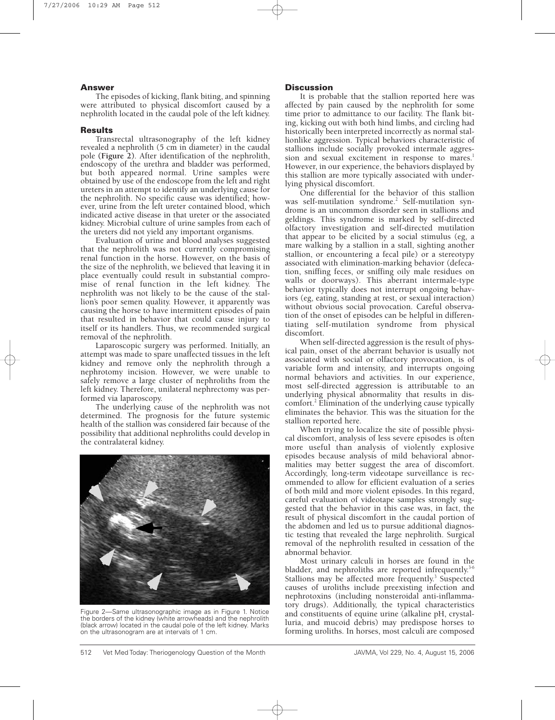### **Answer**

The episodes of kicking, flank biting, and spinning were attributed to physical discomfort caused by a nephrolith located in the caudal pole of the left kidney.

## **Results**

Transrectal ultrasonography of the left kidney revealed a nephrolith (5 cm in diameter) in the caudal pole **(Figure 2)**. After identification of the nephrolith, endoscopy of the urethra and bladder was performed, but both appeared normal. Urine samples were obtained by use of the endoscope from the left and right ureters in an attempt to identify an underlying cause for the nephrolith. No specific cause was identified; however, urine from the left ureter contained blood, which indicated active disease in that ureter or the associated kidney. Microbial culture of urine samples from each of the ureters did not yield any important organisms.

Evaluation of urine and blood analyses suggested that the nephrolith was not currently compromising renal function in the horse. However, on the basis of the size of the nephrolith, we believed that leaving it in place eventually could result in substantial compromise of renal function in the left kidney. The nephrolith was not likely to be the cause of the stallion's poor semen quality. However, it apparently was causing the horse to have intermittent episodes of pain that resulted in behavior that could cause injury to itself or its handlers. Thus, we recommended surgical removal of the nephrolith.

Laparoscopic surgery was performed. Initially, an attempt was made to spare unaffected tissues in the left kidney and remove only the nephrolith through a nephrotomy incision. However, we were unable to safely remove a large cluster of nephroliths from the left kidney. Therefore, unilateral nephrectomy was performed via laparoscopy.

The underlying cause of the nephrolith was not determined. The prognosis for the future systemic health of the stallion was considered fair because of the possibility that additional nephroliths could develop in the contralateral kidney.



Figure 2—Same ultrasonographic image as in Figure 1. Notice the borders of the kidney (white arrowheads) and the nephrolith (black arrow) located in the caudal pole of the left kidney. Marks on the ultrasonogram are at intervals of 1 cm.

## **Discussion**

It is probable that the stallion reported here was affected by pain caused by the nephrolith for some time prior to admittance to our facility. The flank biting, kicking out with both hind limbs, and circling had historically been interpreted incorrectly as normal stallionlike aggression. Typical behaviors characteristic of stallions include socially provoked intermale aggression and sexual excitement in response to mares.<sup>1</sup> However, in our experience, the behaviors displayed by this stallion are more typically associated with underlying physical discomfort.

One differential for the behavior of this stallion was self-mutilation syndrome.<sup>2</sup> Self-mutilation syndrome is an uncommon disorder seen in stallions and geldings. This syndrome is marked by self-directed olfactory investigation and self-directed mutilation that appear to be elicited by a social stimulus (eg, a mare walking by a stallion in a stall, sighting another stallion, or encountering a fecal pile) or a stereotypy associated with elimination-marking behavior (defecation, sniffing feces, or sniffing oily male residues on walls or doorways). This aberrant intermale-type behavior typically does not interrupt ongoing behaviors (eg, eating, standing at rest, or sexual interaction) without obvious social provocation. Careful observation of the onset of episodes can be helpful in differentiating self-mutilation syndrome from physical discomfort.

When self-directed aggression is the result of physical pain, onset of the aberrant behavior is usually not associated with social or olfactory provocation, is of variable form and intensity, and interrupts ongoing normal behaviors and activities. In our experience, most self-directed aggression is attributable to an underlying physical abnormality that results in discomfort. $\frac{2}{3}$  Elimination of the underlying cause typically eliminates the behavior. This was the situation for the stallion reported here.

When trying to localize the site of possible physical discomfort, analysis of less severe episodes is often more useful than analysis of violently explosive episodes because analysis of mild behavioral abnormalities may better suggest the area of discomfort. Accordingly, long-term videotape surveillance is recommended to allow for efficient evaluation of a series of both mild and more violent episodes. In this regard, careful evaluation of videotape samples strongly suggested that the behavior in this case was, in fact, the result of physical discomfort in the caudal portion of the abdomen and led us to pursue additional diagnostic testing that revealed the large nephrolith. Surgical removal of the nephrolith resulted in cessation of the abnormal behavior.

Most urinary calculi in horses are found in the bladder, and nephroliths are reported infrequently.<sup>3-6</sup> Stallions may be affected more frequently.<sup>3</sup> Suspected causes of uroliths include preexisting infection and nephrotoxins (including nonsteroidal anti-inflammatory drugs). Additionally, the typical characteristics and constituents of equine urine (alkaline pH, crystalluria, and mucoid debris) may predispose horses to forming uroliths. In horses, most calculi are composed